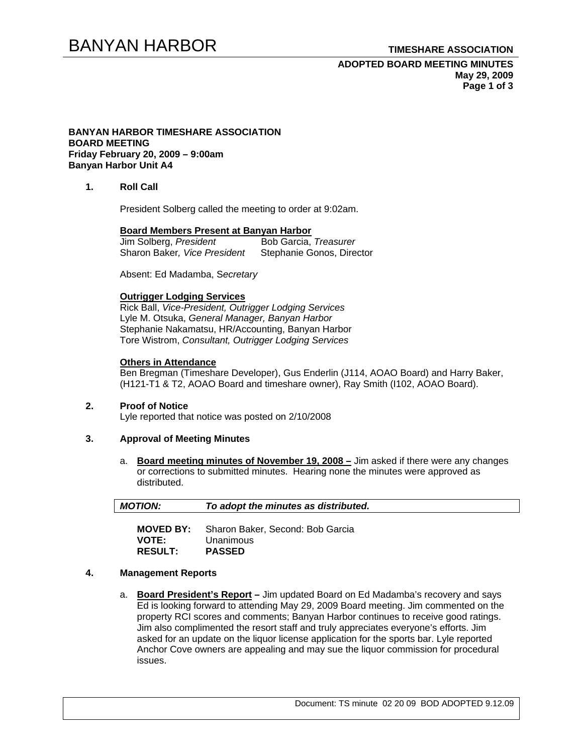# BANYAN HARBOR **TIMESHARE ASSOCIATION**

# **ADOPTED BOARD MEETING MINUTES May 29, 2009 Page 1 of 3**

### **BANYAN HARBOR TIMESHARE ASSOCIATION BOARD MEETING Friday February 20, 2009 – 9:00am Banyan Harbor Unit A4**

# **1. Roll Call**

President Solberg called the meeting to order at 9:02am.

# **Board Members Present at Banyan Harbor**

Jim Solberg, President Sharon Baker*, Vice President* Stephanie Gonos, Director

Absent: Ed Madamba, S*ecretary*

## **Outrigger Lodging Services**

Rick Ball, *Vice-President, Outrigger Lodging Services* Lyle M. Otsuka, *General Manager, Banyan Harbor*  Stephanie Nakamatsu, HR/Accounting, Banyan Harbor Tore Wistrom, *Consultant, Outrigger Lodging Services* 

### **Others in Attendance**

Ben Bregman (Timeshare Developer), Gus Enderlin (J114, AOAO Board) and Harry Baker, (H121-T1 & T2, AOAO Board and timeshare owner), Ray Smith (I102, AOAO Board).

**2. Proof of Notice**  Lyle reported that notice was posted on 2/10/2008

## **3. Approval of Meeting Minutes**

a. **Board meeting minutes of November 19, 2008 –** Jim asked if there were any changes or corrections to submitted minutes. Hearing none the minutes were approved as distributed.

| <b>MOTION:</b> | To adopt the minutes as distributed. |
|----------------|--------------------------------------|
|                |                                      |

**MOVED BY:** Sharon Baker, Second: Bob Garcia **VOTE:** Unanimous **RESULT: PASSED**

## **4. Management Reports**

a. **Board President's Report –** Jim updated Board on Ed Madamba's recovery and says Ed is looking forward to attending May 29, 2009 Board meeting. Jim commented on the property RCI scores and comments; Banyan Harbor continues to receive good ratings. Jim also complimented the resort staff and truly appreciates everyone's efforts. Jim asked for an update on the liquor license application for the sports bar. Lyle reported Anchor Cove owners are appealing and may sue the liquor commission for procedural issues.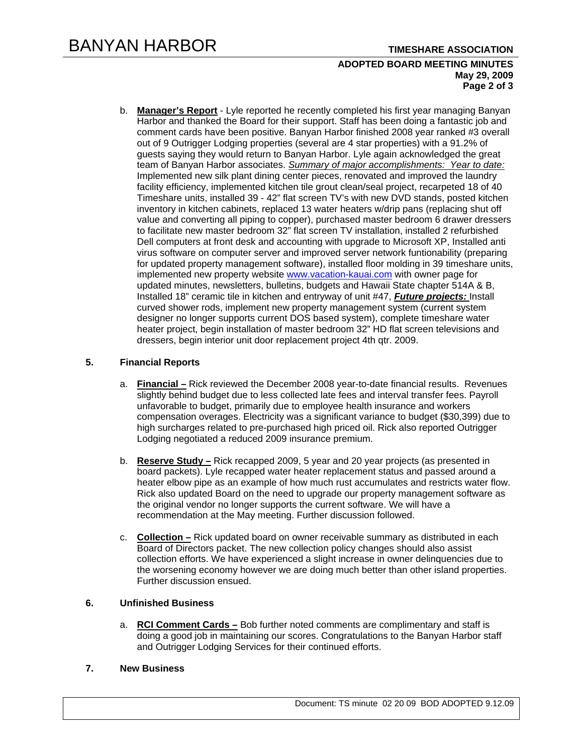## **ADOPTED BOARD MEETING MINUTES May 29, 2009 Page 2 of 3**

b. **Manager's Report** - Lyle reported he recently completed his first year managing Banyan Harbor and thanked the Board for their support. Staff has been doing a fantastic job and comment cards have been positive. Banyan Harbor finished 2008 year ranked #3 overall out of 9 Outrigger Lodging properties (several are 4 star properties) with a 91.2% of guests saying they would return to Banyan Harbor. Lyle again acknowledged the great team of Banyan Harbor associates. *Summary of major accomplishments: Year to date:*  Implemented new silk plant dining center pieces, renovated and improved the laundry facility efficiency, implemented kitchen tile grout clean/seal project, recarpeted 18 of 40 Timeshare units, installed 39 - 42" flat screen TV's with new DVD stands, posted kitchen inventory in kitchen cabinets, replaced 13 water heaters w/drip pans (replacing shut off value and converting all piping to copper), purchased master bedroom 6 drawer dressers to facilitate new master bedroom 32" flat screen TV installation, installed 2 refurbished Dell computers at front desk and accounting with upgrade to Microsoft XP, Installed anti virus software on computer server and improved server network funtionability (preparing for updated property management software), installed floor molding in 39 timeshare units, implemented new property website www.vacation-kauai.com with owner page for updated minutes, newsletters, bulletins, budgets and Hawaii State chapter 514A & B, Installed 18" ceramic tile in kitchen and entryway of unit #47, *Future projects:* Install curved shower rods, implement new property management system (current system designer no longer supports current DOS based system), complete timeshare water heater project, begin installation of master bedroom 32" HD flat screen televisions and dressers, begin interior unit door replacement project 4th qtr. 2009.

# **5. Financial Reports**

- a. **Financial –** Rick reviewed the December 2008 year-to-date financial results. Revenues slightly behind budget due to less collected late fees and interval transfer fees. Payroll unfavorable to budget, primarily due to employee health insurance and workers compensation overages. Electricity was a significant variance to budget (\$30,399) due to high surcharges related to pre-purchased high priced oil. Rick also reported Outrigger Lodging negotiated a reduced 2009 insurance premium.
- b. **Reserve Study –** Rick recapped 2009, 5 year and 20 year projects (as presented in board packets). Lyle recapped water heater replacement status and passed around a heater elbow pipe as an example of how much rust accumulates and restricts water flow. Rick also updated Board on the need to upgrade our property management software as the original vendor no longer supports the current software. We will have a recommendation at the May meeting. Further discussion followed.
- c. **Collection –** Rick updated board on owner receivable summary as distributed in each Board of Directors packet. The new collection policy changes should also assist collection efforts. We have experienced a slight increase in owner delinquencies due to the worsening economy however we are doing much better than other island properties. Further discussion ensued.

# **6. Unfinished Business**

a. **RCI Comment Cards –** Bob further noted comments are complimentary and staff is doing a good job in maintaining our scores. Congratulations to the Banyan Harbor staff and Outrigger Lodging Services for their continued efforts.

# **7. New Business**